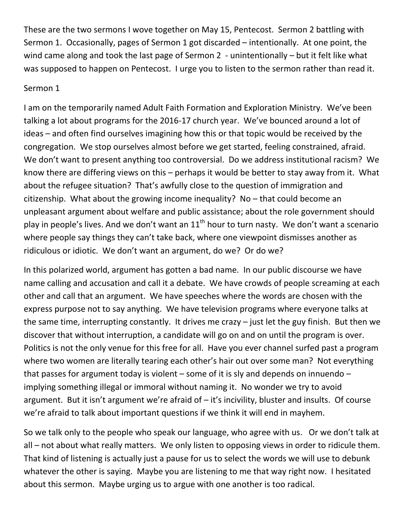These are the two sermons I wove together on May 15, Pentecost. Sermon 2 battling with Sermon 1. Occasionally, pages of Sermon 1 got discarded – intentionally. At one point, the wind came along and took the last page of Sermon 2 - unintentionally – but it felt like what was supposed to happen on Pentecost. I urge you to listen to the sermon rather than read it.

## Sermon 1

I am on the temporarily named Adult Faith Formation and Exploration Ministry. We've been talking a lot about programs for the 2016-17 church year. We've bounced around a lot of ideas – and often find ourselves imagining how this or that topic would be received by the congregation. We stop ourselves almost before we get started, feeling constrained, afraid. We don't want to present anything too controversial. Do we address institutional racism? We know there are differing views on this – perhaps it would be better to stay away from it. What about the refugee situation? That's awfully close to the question of immigration and citizenship. What about the growing income inequality? No – that could become an unpleasant argument about welfare and public assistance; about the role government should play in people's lives. And we don't want an  $11<sup>th</sup>$  hour to turn nasty. We don't want a scenario where people say things they can't take back, where one viewpoint dismisses another as ridiculous or idiotic. We don't want an argument, do we? Or do we?

In this polarized world, argument has gotten a bad name. In our public discourse we have name calling and accusation and call it a debate. We have crowds of people screaming at each other and call that an argument. We have speeches where the words are chosen with the express purpose not to say anything. We have television programs where everyone talks at the same time, interrupting constantly. It drives me crazy – just let the guy finish. But then we discover that without interruption, a candidate will go on and on until the program is over. Politics is not the only venue for this free for all. Have you ever channel surfed past a program where two women are literally tearing each other's hair out over some man? Not everything that passes for argument today is violent  $-$  some of it is sly and depends on innuendo  $$ implying something illegal or immoral without naming it. No wonder we try to avoid argument. But it isn't argument we're afraid of – it's incivility, bluster and insults. Of course we're afraid to talk about important questions if we think it will end in mayhem.

So we talk only to the people who speak our language, who agree with us. Or we don't talk at all – not about what really matters. We only listen to opposing views in order to ridicule them. That kind of listening is actually just a pause for us to select the words we will use to debunk whatever the other is saying. Maybe you are listening to me that way right now. I hesitated about this sermon. Maybe urging us to argue with one another is too radical.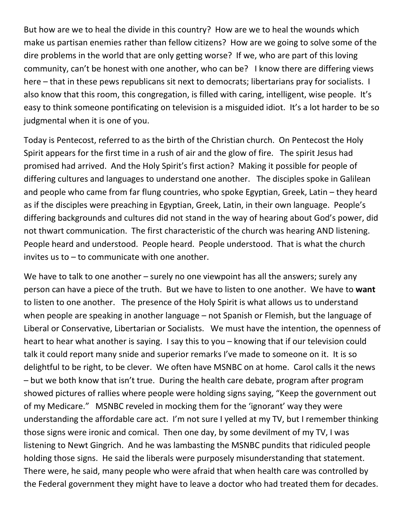But how are we to heal the divide in this country? How are we to heal the wounds which make us partisan enemies rather than fellow citizens? How are we going to solve some of the dire problems in the world that are only getting worse? If we, who are part of this loving community, can't be honest with one another, who can be? I know there are differing views here – that in these pews republicans sit next to democrats; libertarians pray for socialists. I also know that this room, this congregation, is filled with caring, intelligent, wise people. It's easy to think someone pontificating on television is a misguided idiot. It's a lot harder to be so judgmental when it is one of you.

Today is Pentecost, referred to as the birth of the Christian church. On Pentecost the Holy Spirit appears for the first time in a rush of air and the glow of fire. The spirit Jesus had promised had arrived. And the Holy Spirit's first action? Making it possible for people of differing cultures and languages to understand one another. The disciples spoke in Galilean and people who came from far flung countries, who spoke Egyptian, Greek, Latin – they heard as if the disciples were preaching in Egyptian, Greek, Latin, in their own language. People's differing backgrounds and cultures did not stand in the way of hearing about God's power, did not thwart communication. The first characteristic of the church was hearing AND listening. People heard and understood. People heard. People understood. That is what the church invites us to  $-$  to communicate with one another.

We have to talk to one another – surely no one viewpoint has all the answers; surely any person can have a piece of the truth. But we have to listen to one another. We have to **want**  to listen to one another. The presence of the Holy Spirit is what allows us to understand when people are speaking in another language – not Spanish or Flemish, but the language of Liberal or Conservative, Libertarian or Socialists. We must have the intention, the openness of heart to hear what another is saying. I say this to you – knowing that if our television could talk it could report many snide and superior remarks I've made to someone on it. It is so delightful to be right, to be clever. We often have MSNBC on at home. Carol calls it the news – but we both know that isn't true. During the health care debate, program after program showed pictures of rallies where people were holding signs saying, "Keep the government out of my Medicare." MSNBC reveled in mocking them for the 'ignorant' way they were understanding the affordable care act. I'm not sure I yelled at my TV, but I remember thinking those signs were ironic and comical. Then one day, by some devilment of my TV, I was listening to Newt Gingrich. And he was lambasting the MSNBC pundits that ridiculed people holding those signs. He said the liberals were purposely misunderstanding that statement. There were, he said, many people who were afraid that when health care was controlled by the Federal government they might have to leave a doctor who had treated them for decades.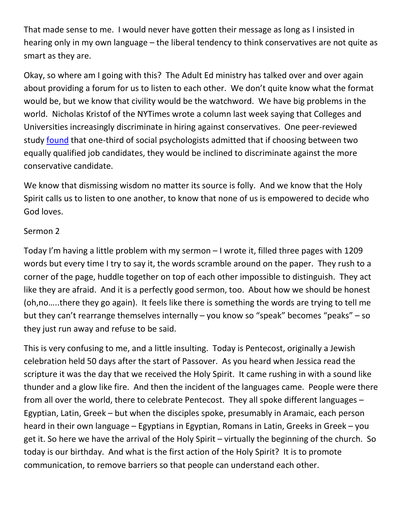That made sense to me. I would never have gotten their message as long as I insisted in hearing only in my own language – the liberal tendency to think conservatives are not quite as smart as they are.

Okay, so where am I going with this? The Adult Ed ministry has talked over and over again about providing a forum for us to listen to each other. We don't quite know what the format would be, but we know that civility would be the watchword. We have big problems in the world. Nicholas Kristof of the NYTimes wrote a column last week saying that Colleges and Universities increasingly discriminate in hiring against conservatives. One peer-reviewed study [found](http://yoelinbar.net/papers/political_diversity.pdf) that one-third of social psychologists admitted that if choosing between two equally qualified job candidates, they would be inclined to discriminate against the more conservative candidate.

We know that dismissing wisdom no matter its source is folly. And we know that the Holy Spirit calls us to listen to one another, to know that none of us is empowered to decide who God loves.

## Sermon 2

Today I'm having a little problem with my sermon – I wrote it, filled three pages with 1209 words but every time I try to say it, the words scramble around on the paper. They rush to a corner of the page, huddle together on top of each other impossible to distinguish. They act like they are afraid. And it is a perfectly good sermon, too. About how we should be honest (oh,no…..there they go again). It feels like there is something the words are trying to tell me but they can't rearrange themselves internally – you know so "speak" becomes "peaks" – so they just run away and refuse to be said.

This is very confusing to me, and a little insulting. Today is Pentecost, originally a Jewish celebration held 50 days after the start of Passover. As you heard when Jessica read the scripture it was the day that we received the Holy Spirit. It came rushing in with a sound like thunder and a glow like fire. And then the incident of the languages came. People were there from all over the world, there to celebrate Pentecost. They all spoke different languages – Egyptian, Latin, Greek – but when the disciples spoke, presumably in Aramaic, each person heard in their own language – Egyptians in Egyptian, Romans in Latin, Greeks in Greek – you get it. So here we have the arrival of the Holy Spirit – virtually the beginning of the church. So today is our birthday. And what is the first action of the Holy Spirit? It is to promote communication, to remove barriers so that people can understand each other.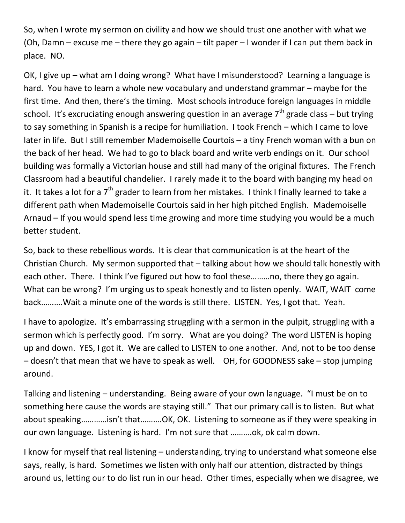So, when I wrote my sermon on civility and how we should trust one another with what we (Oh, Damn – excuse me – there they go again – tilt paper – I wonder if I can put them back in place. NO.

OK, I give up – what am I doing wrong? What have I misunderstood? Learning a language is hard. You have to learn a whole new vocabulary and understand grammar – maybe for the first time. And then, there's the timing. Most schools introduce foreign languages in middle school. It's excruciating enough answering question in an average  $7<sup>th</sup>$  grade class – but trying to say something in Spanish is a recipe for humiliation. I took French – which I came to love later in life. But I still remember Mademoiselle Courtois – a tiny French woman with a bun on the back of her head. We had to go to black board and write verb endings on it. Our school building was formally a Victorian house and still had many of the original fixtures. The French Classroom had a beautiful chandelier. I rarely made it to the board with banging my head on it. It takes a lot for a  $7<sup>th</sup>$  grader to learn from her mistakes. I think I finally learned to take a different path when Mademoiselle Courtois said in her high pitched English. Mademoiselle Arnaud – If you would spend less time growing and more time studying you would be a much better student.

So, back to these rebellious words. It is clear that communication is at the heart of the Christian Church. My sermon supported that – talking about how we should talk honestly with each other. There. I think I've figured out how to fool these………no, there they go again. What can be wrong? I'm urging us to speak honestly and to listen openly. WAIT, WAIT come back……….Wait a minute one of the words is still there. LISTEN. Yes, I got that. Yeah.

I have to apologize. It's embarrassing struggling with a sermon in the pulpit, struggling with a sermon which is perfectly good. I'm sorry. What are you doing? The word LISTEN is hoping up and down. YES, I got it. We are called to LISTEN to one another. And, not to be too dense – doesn't that mean that we have to speak as well. OH, for GOODNESS sake – stop jumping around.

Talking and listening – understanding. Being aware of your own language. "I must be on to something here cause the words are staying still." That our primary call is to listen. But what about speaking…………isn't that……….OK, OK. Listening to someone as if they were speaking in our own language. Listening is hard. I'm not sure that ……….ok, ok calm down.

I know for myself that real listening – understanding, trying to understand what someone else says, really, is hard. Sometimes we listen with only half our attention, distracted by things around us, letting our to do list run in our head. Other times, especially when we disagree, we